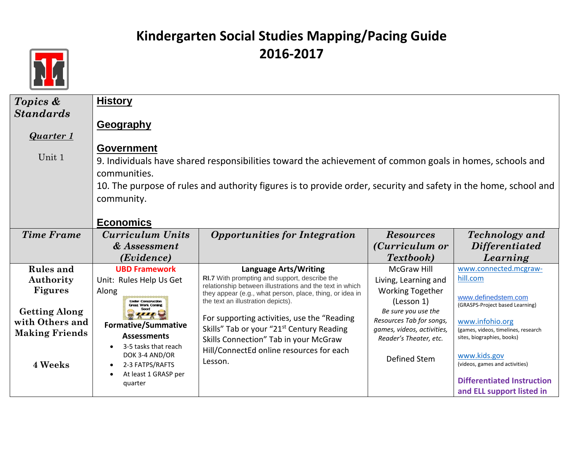

| Topics &              | <b>History</b>                                        |                                                                                                                 |                                                 |                                     |
|-----------------------|-------------------------------------------------------|-----------------------------------------------------------------------------------------------------------------|-------------------------------------------------|-------------------------------------|
| <b>Standards</b>      |                                                       |                                                                                                                 |                                                 |                                     |
|                       | Geography                                             |                                                                                                                 |                                                 |                                     |
| <b>Quarter 1</b>      |                                                       |                                                                                                                 |                                                 |                                     |
| Unit 1                | <b>Government</b>                                     |                                                                                                                 |                                                 |                                     |
|                       |                                                       | 9. Individuals have shared responsibilities toward the achievement of common goals in homes, schools and        |                                                 |                                     |
|                       | communities.                                          |                                                                                                                 |                                                 |                                     |
|                       |                                                       | 10. The purpose of rules and authority figures is to provide order, security and safety in the home, school and |                                                 |                                     |
|                       | community.                                            |                                                                                                                 |                                                 |                                     |
|                       |                                                       |                                                                                                                 |                                                 |                                     |
|                       | <b>Economics</b>                                      |                                                                                                                 |                                                 |                                     |
| <b>Time Frame</b>     | Curriculum Units                                      | <b>Opportunities for Integration</b>                                                                            | <b>Resources</b>                                | <b>Technology</b> and               |
|                       | & Assessment                                          |                                                                                                                 | (Curriculum or                                  | <i>Differentiated</i>               |
|                       | (Evidence)                                            |                                                                                                                 | <b>Textbook</b> )                               | Learning                            |
| <b>Rules</b> and      | <b>UBD Framework</b>                                  | <b>Language Arts/Writing</b><br>RI.7 With prompting and support, describe the                                   | <b>McGraw Hill</b>                              | www.connected.mcgraw-               |
| Authority             |                                                       |                                                                                                                 |                                                 |                                     |
|                       | Unit: Rules Help Us Get                               | relationship between illustrations and the text in which                                                        | Living, Learning and                            | hill.com                            |
| <b>Figures</b>        | Along                                                 | they appear (e.g., what person, place, thing, or idea in                                                        | <b>Working Together</b>                         | www.definedstem.com                 |
|                       | <b>Under Construction</b><br><b>Great Work Coming</b> | the text an illustration depicts).                                                                              | (Lesson 1)                                      | (GRASPS-Project based Learning)     |
| <b>Getting Along</b>  |                                                       | For supporting activities, use the "Reading"                                                                    | Be sure you use the<br>Resources Tab for songs, | www.infohio.org                     |
| with Others and       | <b>Formative/Summative</b>                            | Skills" Tab or your "21 <sup>st</sup> Century Reading                                                           | games, videos, activities,                      | (games, videos, timelines, research |
| <b>Making Friends</b> | <b>Assessments</b>                                    | Skills Connection" Tab in your McGraw                                                                           | Reader's Theater, etc.                          | sites, biographies, books)          |
|                       | 3-5 tasks that reach<br>DOK 3-4 AND/OR                | Hill/ConnectEd online resources for each                                                                        |                                                 | www.kids.gov                        |
| 4 Weeks               | 2-3 FATPS/RAFTS                                       | Lesson.                                                                                                         | Defined Stem                                    | (videos, games and activities)      |
|                       | At least 1 GRASP per<br>quarter                       |                                                                                                                 |                                                 | <b>Differentiated Instruction</b>   |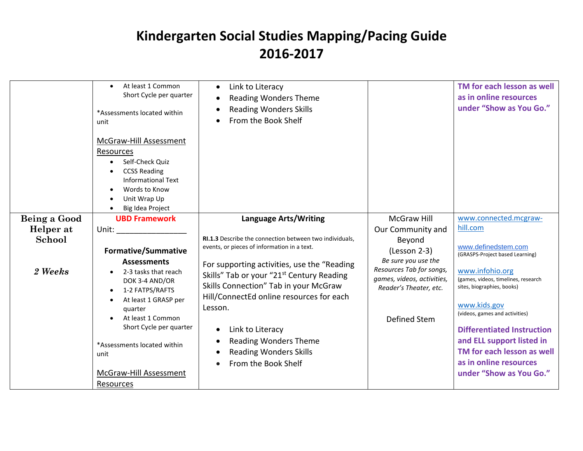|                   | At least 1 Common<br>Short Cycle per quarter<br>*Assessments located within<br>unit<br>McGraw-Hill Assessment<br>Resources<br>Self-Check Quiz<br><b>CCSS Reading</b><br><b>Informational Text</b><br>Words to Know<br>Unit Wrap Up<br>Big Idea Project            | Link to Literacy<br>$\bullet$<br><b>Reading Wonders Theme</b><br><b>Reading Wonders Skills</b><br>From the Book Shelf                                                                                                                                                                                                                                                                                                           |                                                                                                                                                   | TM for each lesson as well<br>as in online resources<br>under "Show as You Go."                                                                                                                                                                                                                                                                       |
|-------------------|-------------------------------------------------------------------------------------------------------------------------------------------------------------------------------------------------------------------------------------------------------------------|---------------------------------------------------------------------------------------------------------------------------------------------------------------------------------------------------------------------------------------------------------------------------------------------------------------------------------------------------------------------------------------------------------------------------------|---------------------------------------------------------------------------------------------------------------------------------------------------|-------------------------------------------------------------------------------------------------------------------------------------------------------------------------------------------------------------------------------------------------------------------------------------------------------------------------------------------------------|
| Being a Good      | <b>UBD Framework</b>                                                                                                                                                                                                                                              | <b>Language Arts/Writing</b>                                                                                                                                                                                                                                                                                                                                                                                                    | <b>McGraw Hill</b>                                                                                                                                | www.connected.mcgraw-                                                                                                                                                                                                                                                                                                                                 |
| Helper at         | Unit: and the state of the state of the state of the state of the state of the state of the state of the state                                                                                                                                                    |                                                                                                                                                                                                                                                                                                                                                                                                                                 | Our Community and                                                                                                                                 | hill.com                                                                                                                                                                                                                                                                                                                                              |
| School<br>2 Weeks | <b>Formative/Summative</b><br><b>Assessments</b><br>2-3 tasks that reach<br>DOK 3-4 AND/OR<br>1-2 FATPS/RAFTS<br>At least 1 GRASP per<br>quarter<br>At least 1 Common<br>Short Cycle per quarter<br>*Assessments located within<br>unit<br>McGraw-Hill Assessment | RI.1.3 Describe the connection between two individuals,<br>events, or pieces of information in a text.<br>For supporting activities, use the "Reading<br>Skills" Tab or your "21 <sup>st</sup> Century Reading<br>Skills Connection" Tab in your McGraw<br>Hill/ConnectEd online resources for each<br>Lesson.<br>Link to Literacy<br>٠<br><b>Reading Wonders Theme</b><br><b>Reading Wonders Skills</b><br>From the Book Shelf | Beyond<br>(Lesson 2-3)<br>Be sure you use the<br>Resources Tab for songs,<br>games, videos, activities,<br>Reader's Theater, etc.<br>Defined Stem | www.definedstem.com<br>(GRASPS-Project based Learning)<br>www.infohio.org<br>(games, videos, timelines, research<br>sites, biographies, books)<br>www.kids.gov<br>(videos, games and activities)<br><b>Differentiated Instruction</b><br>and ELL support listed in<br>TM for each lesson as well<br>as in online resources<br>under "Show as You Go." |
|                   | Resources                                                                                                                                                                                                                                                         |                                                                                                                                                                                                                                                                                                                                                                                                                                 |                                                                                                                                                   |                                                                                                                                                                                                                                                                                                                                                       |
|                   |                                                                                                                                                                                                                                                                   |                                                                                                                                                                                                                                                                                                                                                                                                                                 |                                                                                                                                                   |                                                                                                                                                                                                                                                                                                                                                       |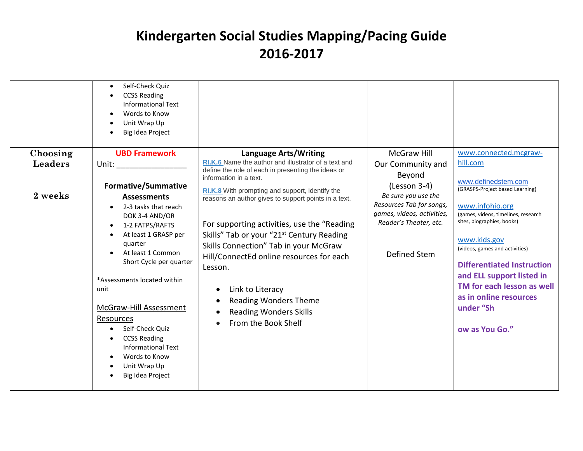|                           | Self-Check Quiz<br>$\bullet$<br><b>CCSS Reading</b><br><b>Informational Text</b><br>Words to Know<br>$\bullet$<br>Unit Wrap Up<br>$\bullet$<br>Big Idea Project                                                                                                                                                                                                                                                                                   |                                                                                                                                                                                                                                                                                                                                                                          |                                                                                                  |                                                                                                                                                                                                                                                                                                 |
|---------------------------|---------------------------------------------------------------------------------------------------------------------------------------------------------------------------------------------------------------------------------------------------------------------------------------------------------------------------------------------------------------------------------------------------------------------------------------------------|--------------------------------------------------------------------------------------------------------------------------------------------------------------------------------------------------------------------------------------------------------------------------------------------------------------------------------------------------------------------------|--------------------------------------------------------------------------------------------------|-------------------------------------------------------------------------------------------------------------------------------------------------------------------------------------------------------------------------------------------------------------------------------------------------|
| <b>Leaders</b><br>2 weeks | Unit: the contract of the contract of the contract of the contract of the contract of the contract of the contract of the contract of the contract of the contract of the contract of the contract of the contract of the cont<br><b>Formative/Summative</b><br><b>Assessments</b>                                                                                                                                                                | RI.K.6 Name the author and illustrator of a text and<br>define the role of each in presenting the ideas or<br>information in a text.<br>RI.K.8 With prompting and support, identify the                                                                                                                                                                                  | Our Community and<br>Beyond<br>$(Lesson 3-4)$<br>Be sure you use the                             | hill.com<br>www.definedstem.com<br>(GRASPS-Project based Learning)                                                                                                                                                                                                                              |
|                           | 2-3 tasks that reach<br>$\bullet$<br>DOK 3-4 AND/OR<br>1-2 FATPS/RAFTS<br>$\bullet$<br>At least 1 GRASP per<br>$\bullet$<br>quarter<br>At least 1 Common<br>Short Cycle per quarter<br>*Assessments located within<br>unit<br>McGraw-Hill Assessment<br>Resources<br>Self-Check Quiz<br>$\bullet$<br><b>CCSS Reading</b><br>$\bullet$<br><b>Informational Text</b><br>Words to Know<br>$\bullet$<br>Unit Wrap Up<br>$\bullet$<br>Big Idea Project | reasons an author gives to support points in a text.<br>For supporting activities, use the "Reading<br>Skills" Tab or your "21 <sup>st</sup> Century Reading<br>Skills Connection" Tab in your McGraw<br>Hill/ConnectEd online resources for each<br>Lesson.<br>Link to Literacy<br><b>Reading Wonders Theme</b><br><b>Reading Wonders Skills</b><br>From the Book Shelf | Resources Tab for songs,<br>games, videos, activities,<br>Reader's Theater, etc.<br>Defined Stem | www.infohio.org<br>(games, videos, timelines, research<br>sites, biographies, books)<br>www.kids.gov<br>(videos, games and activities)<br><b>Differentiated Instruction</b><br>and ELL support listed in<br>TM for each lesson as well<br>as in online resources<br>under "Sh<br>ow as You Go." |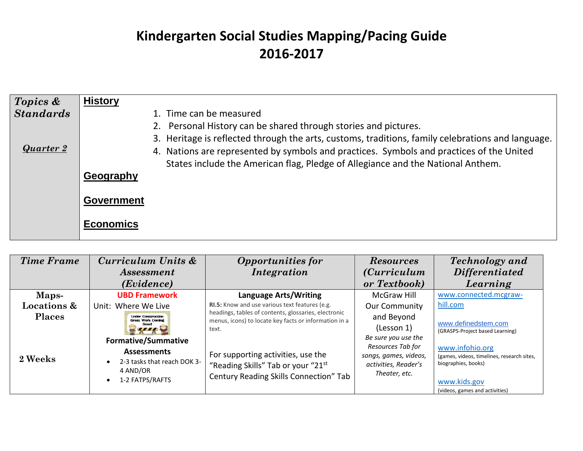| Topics &         | <b>History</b>                                                                                    |
|------------------|---------------------------------------------------------------------------------------------------|
| <b>Standards</b> | 1. Time can be measured                                                                           |
|                  | 2. Personal History can be shared through stories and pictures.                                   |
|                  | 3. Heritage is reflected through the arts, customs, traditions, family celebrations and language. |
|                  | 4. Nations are represented by symbols and practices. Symbols and practices of the United          |
|                  | States include the American flag, Pledge of Allegiance and the National Anthem.                   |
|                  | Geography                                                                                         |
|                  |                                                                                                   |
|                  |                                                                                                   |
|                  |                                                                                                   |
|                  |                                                                                                   |
| Quarter 2        | <b>Government</b><br><b>Economics</b>                                                             |

| <b>Time Frame</b>      | Curriculum Units &<br><i>Assessment</i>               | <b>Opportunities for</b><br><i>Integration</i>                                                                | <b>Resources</b><br><i>(Curriculum</i> )      | <b>Technology</b> and<br><b>Differentiated</b>                    |
|------------------------|-------------------------------------------------------|---------------------------------------------------------------------------------------------------------------|-----------------------------------------------|-------------------------------------------------------------------|
|                        | ( <i>Evidence</i> )                                   |                                                                                                               | or Textbook)                                  | Learning                                                          |
| Maps-                  | <b>UBD Framework</b>                                  | <b>Language Arts/Writing</b>                                                                                  | <b>McGraw Hill</b>                            | www.connected.mcgraw-                                             |
| <b>Locations &amp;</b> | Unit: Where We Live                                   | RI.5: Know and use various text features (e.g.                                                                | <b>Our Community</b>                          | hill.com                                                          |
| <b>Places</b>          | <b>Under Construction</b><br><b>Great Work Coming</b> | headings, tables of contents, glossaries, electronic<br>menus, icons) to locate key facts or information in a | and Beyond                                    |                                                                   |
|                        |                                                       | text.                                                                                                         | (Lesson 1)                                    | www.definedstem.com<br>(GRASPS-Project based Learning)            |
|                        | <b>Formative/Summative</b>                            |                                                                                                               | Be sure you use the                           |                                                                   |
|                        | <b>Assessments</b>                                    |                                                                                                               | Resources Tab for                             | www.infohio.org                                                   |
| 2 Weeks                | 2-3 tasks that reach DOK 3-                           | For supporting activities, use the                                                                            | songs, games, videos,<br>activities, Reader's | (games, videos, timelines, research sites,<br>biographies, books) |
|                        | 4 AND/OR<br>1-2 FATPS/RAFTS                           | "Reading Skills" Tab or your "21st                                                                            | Theater, etc.                                 |                                                                   |
|                        |                                                       | Century Reading Skills Connection" Tab                                                                        |                                               | www.kids.gov                                                      |
|                        |                                                       |                                                                                                               |                                               | (videos, games and activities)                                    |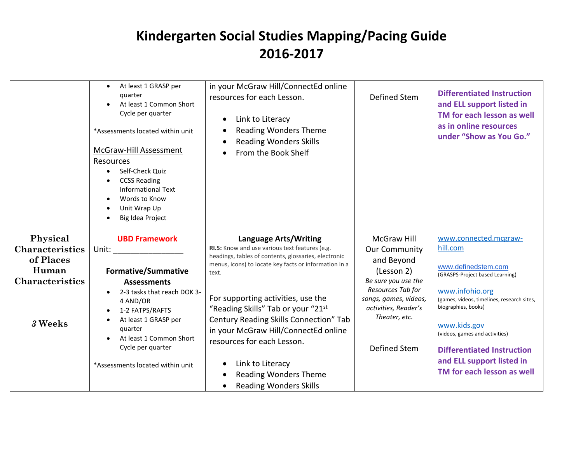|                                     | At least 1 GRASP per<br>$\bullet$<br>quarter<br>At least 1 Common Short<br>Cycle per quarter<br>*Assessments located within unit<br>McGraw-Hill Assessment<br>Resources<br>Self-Check Quiz<br><b>CCSS Reading</b><br><b>Informational Text</b><br>Words to Know<br>Unit Wrap Up<br>Big Idea Project | in your McGraw Hill/ConnectEd online<br>resources for each Lesson.<br>Link to Literacy<br><b>Reading Wonders Theme</b><br><b>Reading Wonders Skills</b><br>From the Book Shelf           | <b>Defined Stem</b>                                                                                        | <b>Differentiated Instruction</b><br>and ELL support listed in<br>TM for each lesson as well<br>as in online resources<br>under "Show as You Go." |
|-------------------------------------|-----------------------------------------------------------------------------------------------------------------------------------------------------------------------------------------------------------------------------------------------------------------------------------------------------|------------------------------------------------------------------------------------------------------------------------------------------------------------------------------------------|------------------------------------------------------------------------------------------------------------|---------------------------------------------------------------------------------------------------------------------------------------------------|
| Physical                            | <b>UBD Framework</b>                                                                                                                                                                                                                                                                                | <b>Language Arts/Writing</b>                                                                                                                                                             | <b>McGraw Hill</b>                                                                                         | www.connected.mcgraw-                                                                                                                             |
| <b>Characteristics</b><br>of Places |                                                                                                                                                                                                                                                                                                     | RI.5: Know and use various text features (e.g.<br>headings, tables of contents, glossaries, electronic                                                                                   | <b>Our Community</b><br>and Beyond                                                                         | hill.com                                                                                                                                          |
| Human                               | <b>Formative/Summative</b>                                                                                                                                                                                                                                                                          | menus, icons) to locate key facts or information in a<br>text.                                                                                                                           | (Lesson 2)                                                                                                 | www.definedstem.com<br>(GRASPS-Project based Learning)                                                                                            |
| <b>Characteristics</b>              | <b>Assessments</b>                                                                                                                                                                                                                                                                                  |                                                                                                                                                                                          | Be sure you use the                                                                                        |                                                                                                                                                   |
| 3 Weeks                             | 2-3 tasks that reach DOK 3-<br>4 AND/OR<br>1-2 FATPS/RAFTS<br>At least 1 GRASP per<br>quarter<br>At least 1 Common Short<br>Cycle per quarter                                                                                                                                                       | For supporting activities, use the<br>"Reading Skills" Tab or your "21st<br>Century Reading Skills Connection" Tab<br>in your McGraw Hill/ConnectEd online<br>resources for each Lesson. | Resources Tab for<br>songs, games, videos,<br>activities, Reader's<br>Theater, etc.<br><b>Defined Stem</b> | www.infohio.org<br>(games, videos, timelines, research sites,<br>biographies, books)<br>www.kids.gov<br>(videos, games and activities)            |
|                                     | *Assessments located within unit                                                                                                                                                                                                                                                                    | Link to Literacy<br><b>Reading Wonders Theme</b><br><b>Reading Wonders Skills</b>                                                                                                        |                                                                                                            | <b>Differentiated Instruction</b><br>and ELL support listed in<br>TM for each lesson as well                                                      |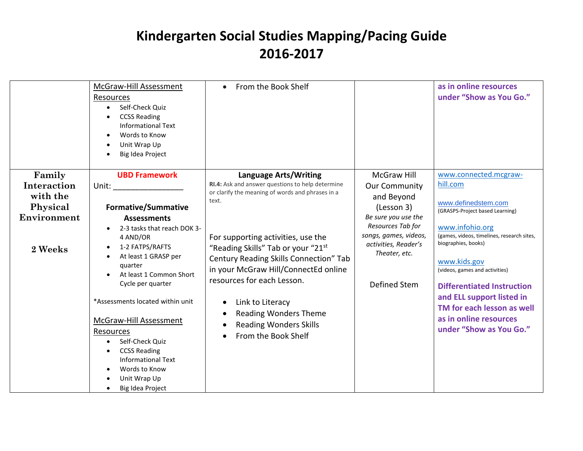|                    |                                   |                                                  |                       | as in online resources                                        |
|--------------------|-----------------------------------|--------------------------------------------------|-----------------------|---------------------------------------------------------------|
|                    | McGraw-Hill Assessment            | From the Book Shelf<br>$\bullet$                 |                       |                                                               |
|                    | Resources                         |                                                  |                       | under "Show as You Go."                                       |
|                    | Self-Check Quiz                   |                                                  |                       |                                                               |
|                    | <b>CCSS Reading</b>               |                                                  |                       |                                                               |
|                    | <b>Informational Text</b>         |                                                  |                       |                                                               |
|                    | Words to Know                     |                                                  |                       |                                                               |
|                    | Unit Wrap Up                      |                                                  |                       |                                                               |
|                    | <b>Big Idea Project</b>           |                                                  |                       |                                                               |
|                    |                                   |                                                  |                       |                                                               |
| Family             | <b>UBD Framework</b>              | Language Arts/Writing                            | <b>McGraw Hill</b>    | www.connected.mcgraw-                                         |
| <b>Interaction</b> |                                   | RI.4: Ask and answer questions to help determine | <b>Our Community</b>  | hill.com                                                      |
| with the           |                                   | or clarify the meaning of words and phrases in a | and Beyond            |                                                               |
| Physical           | <b>Formative/Summative</b>        | text.                                            | (Lesson 3)            | www.definedstem.com                                           |
| Environment        |                                   |                                                  | Be sure you use the   | (GRASPS-Project based Learning)                               |
|                    | <b>Assessments</b>                |                                                  | Resources Tab for     |                                                               |
|                    | 2-3 tasks that reach DOK 3-       |                                                  | songs, games, videos, | www.infohio.org<br>(games, videos, timelines, research sites, |
|                    | 4 AND/OR                          | For supporting activities, use the               | activities, Reader's  | biographies, books)                                           |
| 2 Weeks            | 1-2 FATPS/RAFTS<br>$\bullet$      | "Reading Skills" Tab or your "21st               | Theater, etc.         |                                                               |
|                    | At least 1 GRASP per<br>$\bullet$ | Century Reading Skills Connection" Tab           |                       | www.kids.gov                                                  |
|                    | quarter                           | in your McGraw Hill/ConnectEd online             |                       | (videos, games and activities)                                |
|                    | At least 1 Common Short           | resources for each Lesson.                       |                       |                                                               |
|                    | Cycle per quarter                 |                                                  | Defined Stem          | <b>Differentiated Instruction</b>                             |
|                    |                                   |                                                  |                       | and ELL support listed in                                     |
|                    | *Assessments located within unit  | Link to Literacy                                 |                       | TM for each lesson as well                                    |
|                    |                                   | <b>Reading Wonders Theme</b>                     |                       | as in online resources                                        |
|                    | <b>McGraw-Hill Assessment</b>     | <b>Reading Wonders Skills</b>                    |                       |                                                               |
|                    | Resources                         | From the Book Shelf                              |                       | under "Show as You Go."                                       |
|                    | Self-Check Quiz<br>$\bullet$      |                                                  |                       |                                                               |
|                    | <b>CCSS Reading</b>               |                                                  |                       |                                                               |
|                    | <b>Informational Text</b>         |                                                  |                       |                                                               |
|                    | Words to Know                     |                                                  |                       |                                                               |
|                    | Unit Wrap Up                      |                                                  |                       |                                                               |
|                    | Big Idea Project                  |                                                  |                       |                                                               |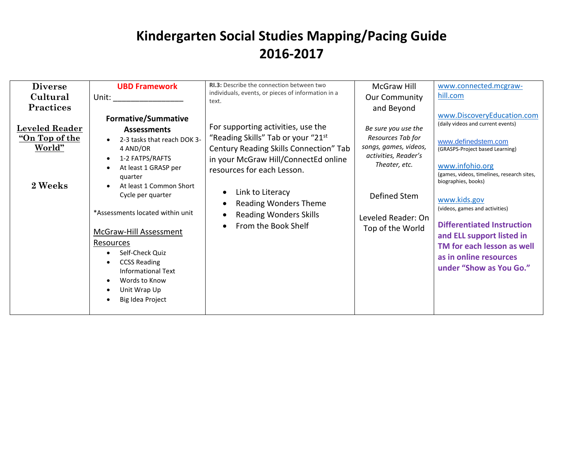| biographies, books)<br>2 Weeks<br>At least 1 Common Short<br>Link to Literacy<br>Cycle per quarter<br>Defined Stem<br>www.kids.gov<br><b>Reading Wonders Theme</b><br>(videos, games and activities)<br>*Assessments located within unit<br><b>Reading Wonders Skills</b><br>Leveled Reader: On<br>From the Book Shelf<br>Top of the World<br><b>McGraw-Hill Assessment</b><br>Resources<br>Self-Check Quiz<br><b>CCSS Reading</b><br>$\bullet$<br>Informational Text<br>Words to Know<br>$\bullet$<br>Unit Wrap Up<br>Big Idea Project<br>$\bullet$ | <b>Diverse</b><br>Cultural<br><b>Practices</b><br><b>Leveled Reader</b><br>"On Top of the<br>World" | <b>UBD Framework</b><br>Unit: the contract of the contract of the contract of the contract of the contract of the contract of the contract of the contract of the contract of the contract of the contract of the contract of the contract of the cont<br><b>Formative/Summative</b><br><b>Assessments</b><br>2-3 tasks that reach DOK 3-<br>$\bullet$<br>4 AND/OR<br>1-2 FATPS/RAFTS<br>$\bullet$<br>At least 1 GRASP per<br>$\bullet$<br>quarter | <b>RI.3:</b> Describe the connection between two<br>individuals, events, or pieces of information in a<br>text.<br>For supporting activities, use the<br>"Reading Skills" Tab or your "21st<br>Century Reading Skills Connection" Tab<br>in your McGraw Hill/ConnectEd online<br>resources for each Lesson. | <b>McGraw Hill</b><br><b>Our Community</b><br>and Beyond<br>Be sure you use the<br>Resources Tab for<br>songs, games, videos,<br>activities, Reader's<br>Theater, etc. | www.connected.mcgraw-<br>hill.com<br>www.DiscoveryEducation.com<br>(daily videos and current events)<br>www.definedstem.com<br>(GRASPS-Project based Learning)<br>www.infohio.org<br>(games, videos, timelines, research sites,<br><b>Differentiated Instruction</b><br>and ELL support listed in<br>TM for each lesson as well<br>as in online resources<br>under "Show as You Go." |
|------------------------------------------------------------------------------------------------------------------------------------------------------------------------------------------------------------------------------------------------------------------------------------------------------------------------------------------------------------------------------------------------------------------------------------------------------------------------------------------------------------------------------------------------------|-----------------------------------------------------------------------------------------------------|----------------------------------------------------------------------------------------------------------------------------------------------------------------------------------------------------------------------------------------------------------------------------------------------------------------------------------------------------------------------------------------------------------------------------------------------------|-------------------------------------------------------------------------------------------------------------------------------------------------------------------------------------------------------------------------------------------------------------------------------------------------------------|------------------------------------------------------------------------------------------------------------------------------------------------------------------------|--------------------------------------------------------------------------------------------------------------------------------------------------------------------------------------------------------------------------------------------------------------------------------------------------------------------------------------------------------------------------------------|
|------------------------------------------------------------------------------------------------------------------------------------------------------------------------------------------------------------------------------------------------------------------------------------------------------------------------------------------------------------------------------------------------------------------------------------------------------------------------------------------------------------------------------------------------------|-----------------------------------------------------------------------------------------------------|----------------------------------------------------------------------------------------------------------------------------------------------------------------------------------------------------------------------------------------------------------------------------------------------------------------------------------------------------------------------------------------------------------------------------------------------------|-------------------------------------------------------------------------------------------------------------------------------------------------------------------------------------------------------------------------------------------------------------------------------------------------------------|------------------------------------------------------------------------------------------------------------------------------------------------------------------------|--------------------------------------------------------------------------------------------------------------------------------------------------------------------------------------------------------------------------------------------------------------------------------------------------------------------------------------------------------------------------------------|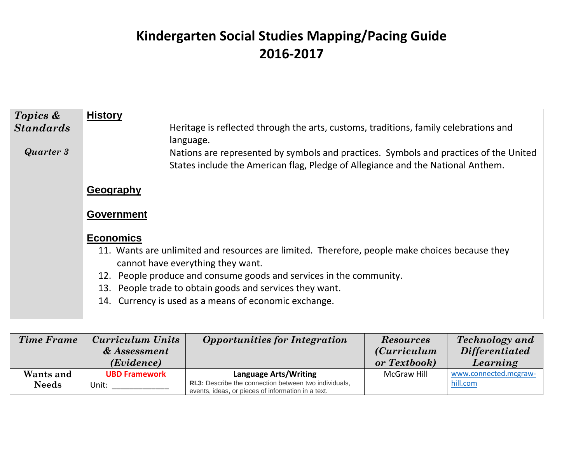| Topics &<br><b>Standards</b> | <b>History</b><br>Heritage is reflected through the arts, customs, traditions, family celebrations and<br>language.                                                      |
|------------------------------|--------------------------------------------------------------------------------------------------------------------------------------------------------------------------|
| Quarter 3                    | Nations are represented by symbols and practices. Symbols and practices of the United<br>States include the American flag, Pledge of Allegiance and the National Anthem. |
|                              | Geography                                                                                                                                                                |
|                              | <b>Government</b>                                                                                                                                                        |
|                              | <b>Economics</b>                                                                                                                                                         |
|                              | 11. Wants are unlimited and resources are limited. Therefore, people make choices because they<br>cannot have everything they want.                                      |
|                              | 12. People produce and consume goods and services in the community.                                                                                                      |
|                              | 13. People trade to obtain goods and services they want.                                                                                                                 |
|                              | 14. Currency is used as a means of economic exchange.                                                                                                                    |

| <b>Time Frame</b>         | Curriculum Units<br>& Assessment<br>( <i>Evidence</i> ) | <b>Opportunities for Integration</b>                                                                                                         | <b>Resources</b><br><i>(Curriculum</i> )<br>or Textbook) | <b>Technology</b> and<br><b>Differentiated</b><br>Learning |
|---------------------------|---------------------------------------------------------|----------------------------------------------------------------------------------------------------------------------------------------------|----------------------------------------------------------|------------------------------------------------------------|
| Wants and<br><b>Needs</b> | <b>UBD Framework</b><br>Unit:                           | <b>Language Arts/Writing</b><br>RI.3: Describe the connection between two individuals,<br>events, ideas, or pieces of information in a text. | McGraw Hill                                              | www.connected.mcgraw-<br>hill.com                          |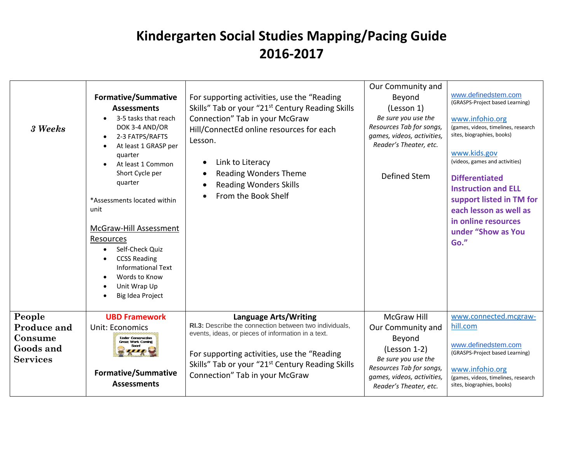| 3 Weeks                                                          | <b>Formative/Summative</b><br><b>Assessments</b><br>3-5 tasks that reach<br>DOK 3-4 AND/OR<br>2-3 FATPS/RAFTS<br>At least 1 GRASP per<br>quarter<br>At least 1 Common<br>Short Cycle per<br>quarter<br>*Assessments located within<br>unit<br>McGraw-Hill Assessment<br>Resources<br>Self-Check Quiz<br><b>CCSS Reading</b><br><b>Informational Text</b><br>Words to Know<br>Unit Wrap Up<br><b>Big Idea Project</b> | For supporting activities, use the "Reading"<br>Skills" Tab or your "21 <sup>st</sup> Century Reading Skills<br>Connection" Tab in your McGraw<br>Hill/ConnectEd online resources for each<br>Lesson.<br>Link to Literacy<br><b>Reading Wonders Theme</b><br><b>Reading Wonders Skills</b><br>From the Book Shelf | Our Community and<br>Beyond<br>(Lesson 1)<br>Be sure you use the<br>Resources Tab for songs,<br>games, videos, activities,<br>Reader's Theater, etc.<br>Defined Stem         | www.definedstem.com<br>(GRASPS-Project based Learning)<br>www.infohio.org<br>(games, videos, timelines, research<br>sites, biographies, books)<br>www.kids.gov<br>(videos, games and activities)<br><b>Differentiated</b><br><b>Instruction and ELL</b><br>support listed in TM for<br>each lesson as well as<br>in online resources<br>under "Show as You<br>Go." |
|------------------------------------------------------------------|----------------------------------------------------------------------------------------------------------------------------------------------------------------------------------------------------------------------------------------------------------------------------------------------------------------------------------------------------------------------------------------------------------------------|-------------------------------------------------------------------------------------------------------------------------------------------------------------------------------------------------------------------------------------------------------------------------------------------------------------------|------------------------------------------------------------------------------------------------------------------------------------------------------------------------------|--------------------------------------------------------------------------------------------------------------------------------------------------------------------------------------------------------------------------------------------------------------------------------------------------------------------------------------------------------------------|
| People<br>Produce and<br>Consume<br>Goods and<br><b>Services</b> | <b>UBD Framework</b><br><b>Unit: Economics</b><br><b>Linder Construction</b><br><b>Great Work Coming</b><br><b>Formative/Summative</b><br><b>Assessments</b>                                                                                                                                                                                                                                                         | <b>Language Arts/Writing</b><br>RI.3: Describe the connection between two individuals,<br>events, ideas, or pieces of information in a text.<br>For supporting activities, use the "Reading<br>Skills" Tab or your "21 <sup>st</sup> Century Reading Skills<br>Connection" Tab in your McGraw                     | <b>McGraw Hill</b><br>Our Community and<br>Beyond<br>(Lesson 1-2)<br>Be sure you use the<br>Resources Tab for songs,<br>games, videos, activities,<br>Reader's Theater, etc. | www.connected.mcgraw-<br>hill.com<br>www.definedstem.com<br>(GRASPS-Project based Learning)<br>www.infohio.org<br>(games, videos, timelines, research<br>sites, biographies, books)                                                                                                                                                                                |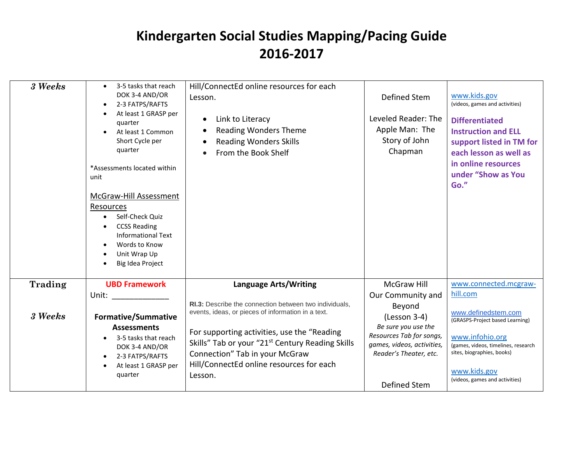| 3 Weeks | 3-5 tasks that reach<br>DOK 3-4 AND/OR<br>2-3 FATPS/RAFTS<br>At least 1 GRASP per<br>quarter<br>At least 1 Common<br>Short Cycle per<br>quarter<br>*Assessments located within<br>unit<br>McGraw-Hill Assessment<br>Resources<br>Self-Check Quiz<br><b>CCSS Reading</b><br><b>Informational Text</b><br>Words to Know<br>Unit Wrap Up<br>Big Idea Project | Hill/ConnectEd online resources for each<br>Lesson.<br>Link to Literacy<br><b>Reading Wonders Theme</b><br><b>Reading Wonders Skills</b><br>From the Book Shelf                                                                                            | Defined Stem<br>Leveled Reader: The<br>Apple Man: The<br>Story of John<br>Chapman                                                                 | www.kids.gov<br>(videos, games and activities)<br><b>Differentiated</b><br><b>Instruction and ELL</b><br>support listed in TM for<br>each lesson as well as<br>in online resources<br>under "Show as You<br>Go." |
|---------|-----------------------------------------------------------------------------------------------------------------------------------------------------------------------------------------------------------------------------------------------------------------------------------------------------------------------------------------------------------|------------------------------------------------------------------------------------------------------------------------------------------------------------------------------------------------------------------------------------------------------------|---------------------------------------------------------------------------------------------------------------------------------------------------|------------------------------------------------------------------------------------------------------------------------------------------------------------------------------------------------------------------|
| Trading | <b>UBD Framework</b><br>Unit:                                                                                                                                                                                                                                                                                                                             | <b>Language Arts/Writing</b><br>RI.3: Describe the connection between two individuals,                                                                                                                                                                     | <b>McGraw Hill</b><br>Our Community and                                                                                                           | www.connected.mcgraw-<br>hill.com                                                                                                                                                                                |
| 3 Weeks | <b>Formative/Summative</b><br><b>Assessments</b><br>3-5 tasks that reach<br>DOK 3-4 AND/OR<br>2-3 FATPS/RAFTS<br>At least 1 GRASP per<br>quarter                                                                                                                                                                                                          | events, ideas, or pieces of information in a text.<br>For supporting activities, use the "Reading<br>Skills" Tab or your "21 <sup>st</sup> Century Reading Skills<br>Connection" Tab in your McGraw<br>Hill/ConnectEd online resources for each<br>Lesson. | Beyond<br>(Lesson 3-4)<br>Be sure you use the<br>Resources Tab for songs,<br>games, videos, activities,<br>Reader's Theater, etc.<br>Defined Stem | www.definedstem.com<br>(GRASPS-Project based Learning)<br>www.infohio.org<br>(games, videos, timelines, research<br>sites, biographies, books)<br>www.kids.gov<br>(videos, games and activities)                 |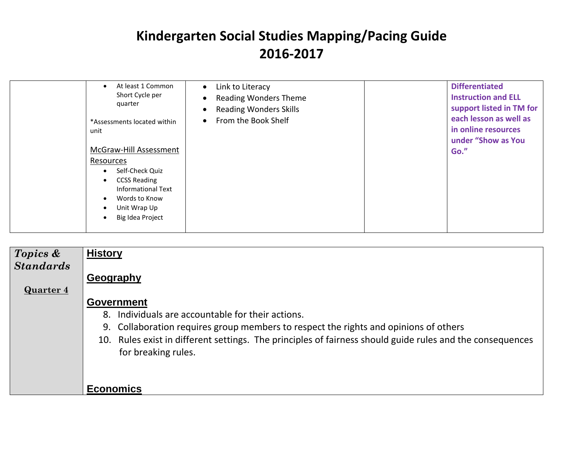| At least 1 Common<br>$\bullet$<br>Short Cycle per<br>quarter<br>*Assessments located within<br>unit<br>McGraw-Hill Assessment<br>Resources<br>Self-Check Quiz<br>$\bullet$<br><b>CCSS Reading</b><br>$\bullet$<br><b>Informational Text</b><br>Words to Know<br>$\bullet$<br>Unit Wrap Up<br>$\bullet$<br>Big Idea Project<br>$\bullet$ | Link to Literacy<br>$\bullet$<br><b>Reading Wonders Theme</b><br>$\bullet$<br><b>Reading Wonders Skills</b><br>$\bullet$<br>From the Book Shelf<br>$\bullet$ | <b>Differentiated</b><br><b>Instruction and ELL</b><br>support listed in TM for<br>each lesson as well as<br>in online resources<br>under "Show as You<br>Go." |
|-----------------------------------------------------------------------------------------------------------------------------------------------------------------------------------------------------------------------------------------------------------------------------------------------------------------------------------------|--------------------------------------------------------------------------------------------------------------------------------------------------------------|----------------------------------------------------------------------------------------------------------------------------------------------------------------|
|-----------------------------------------------------------------------------------------------------------------------------------------------------------------------------------------------------------------------------------------------------------------------------------------------------------------------------------------|--------------------------------------------------------------------------------------------------------------------------------------------------------------|----------------------------------------------------------------------------------------------------------------------------------------------------------------|

| Topics &         | <b>History</b>                                                                                            |
|------------------|-----------------------------------------------------------------------------------------------------------|
| <b>Standards</b> |                                                                                                           |
|                  | Geography                                                                                                 |
| <b>Quarter 4</b> |                                                                                                           |
|                  | <b>Government</b>                                                                                         |
|                  | 8. Individuals are accountable for their actions.                                                         |
|                  | 9. Collaboration requires group members to respect the rights and opinions of others                      |
|                  | 10. Rules exist in different settings. The principles of fairness should guide rules and the consequences |
|                  | for breaking rules.                                                                                       |
|                  |                                                                                                           |
|                  |                                                                                                           |
|                  | <b>Economics</b>                                                                                          |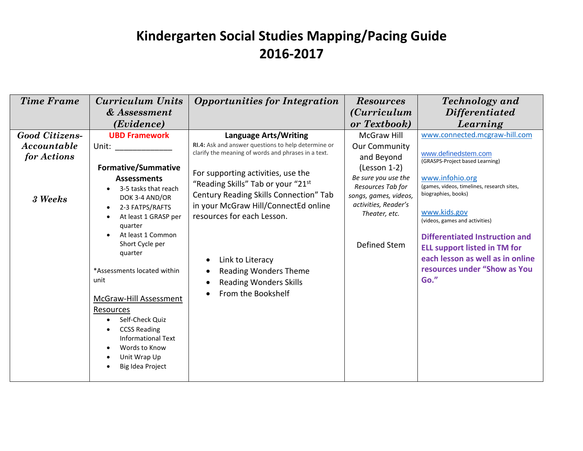| <b>Time Frame</b>          | <b>Curriculum Units</b>                                                                                                               | <b>Opportunities for Integration</b>                                                                       | <b>Resources</b>                                                                          | <b>Technology</b> and                                                                                            |
|----------------------------|---------------------------------------------------------------------------------------------------------------------------------------|------------------------------------------------------------------------------------------------------------|-------------------------------------------------------------------------------------------|------------------------------------------------------------------------------------------------------------------|
|                            | & Assessment                                                                                                                          |                                                                                                            | <i>(Curriculum</i> )                                                                      | <b>Differentiated</b>                                                                                            |
|                            | (Evidence)                                                                                                                            |                                                                                                            | or Textbook)                                                                              | Learning                                                                                                         |
| <b>Good Citizens-</b>      | <b>UBD Framework</b>                                                                                                                  | <b>Language Arts/Writing</b>                                                                               | <b>McGraw Hill</b>                                                                        | www.connected.mcgraw-hill.com                                                                                    |
| Accountable<br>for Actions | Unit:                                                                                                                                 | RI.4: Ask and answer questions to help determine or<br>clarify the meaning of words and phrases in a text. | Our Community<br>and Beyond                                                               | www.definedstem.com                                                                                              |
|                            | <b>Formative/Summative</b>                                                                                                            | For supporting activities, use the                                                                         | (Lesson 1-2)                                                                              | (GRASPS-Project based Learning)                                                                                  |
| 3 Weeks                    | <b>Assessments</b><br>3-5 tasks that reach<br>DOK 3-4 AND/OR                                                                          | "Reading Skills" Tab or your "21st<br>Century Reading Skills Connection" Tab                               | Be sure you use the<br>Resources Tab for<br>songs, games, videos,<br>activities, Reader's | www.infohio.org<br>(games, videos, timelines, research sites,<br>biographies, books)                             |
|                            | 2-3 FATPS/RAFTS<br>$\bullet$<br>At least 1 GRASP per<br>quarter                                                                       | in your McGraw Hill/ConnectEd online<br>resources for each Lesson.                                         | Theater, etc.                                                                             | www.kids.gov<br>(videos, games and activities)                                                                   |
|                            | At least 1 Common<br>Short Cycle per<br>quarter                                                                                       | Link to Literacy<br>$\bullet$                                                                              | Defined Stem                                                                              | <b>Differentiated Instruction and</b><br><b>ELL support listed in TM for</b><br>each lesson as well as in online |
|                            | *Assessments located within<br>unit                                                                                                   | <b>Reading Wonders Theme</b><br><b>Reading Wonders Skills</b>                                              |                                                                                           | resources under "Show as You<br>Go."                                                                             |
|                            | McGraw-Hill Assessment<br>Resources                                                                                                   | From the Bookshelf                                                                                         |                                                                                           |                                                                                                                  |
|                            | Self-Check Quiz<br>$\bullet$<br><b>CCSS Reading</b><br><b>Informational Text</b><br>Words to Know<br>Unit Wrap Up<br>Big Idea Project |                                                                                                            |                                                                                           |                                                                                                                  |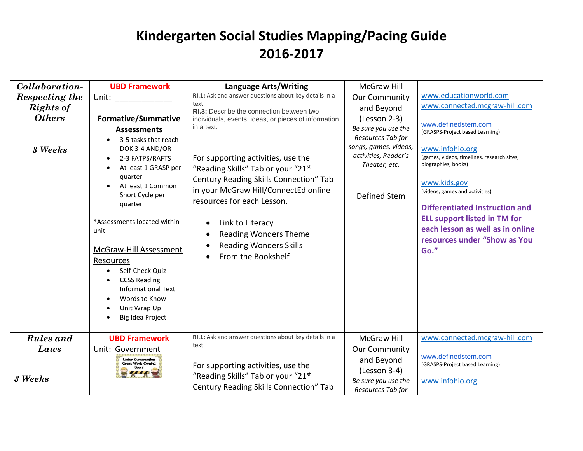| Collaboration-<br>Respecting the<br>Rights of<br><b>Others</b><br>3 Weeks | <b>UBD Framework</b><br>Unit: the contract of the contract of the contract of the contract of the contract of the contract of the contract of the contract of the contract of the contract of the contract of the contract of the contract of the cont<br><b>Formative/Summative</b><br><b>Assessments</b><br>3-5 tasks that reach<br>DOK 3-4 AND/OR<br>2-3 FATPS/RAFTS<br>At least 1 GRASP per<br>quarter<br>At least 1 Common<br>Short Cycle per<br>quarter | Language Arts/Writing<br>RI.1: Ask and answer questions about key details in a<br>text.<br>RI.3: Describe the connection between two<br>individuals, events, ideas, or pieces of information<br>in a text.<br>For supporting activities, use the<br>"Reading Skills" Tab or your "21st<br>Century Reading Skills Connection" Tab<br>in your McGraw Hill/ConnectEd online<br>resources for each Lesson. | <b>McGraw Hill</b><br><b>Our Community</b><br>and Beyond<br>$(Lesson 2-3)$<br>Be sure you use the<br>Resources Tab for<br>songs, games, videos,<br>activities, Reader's<br>Theater, etc.<br>Defined Stem | www.educationworld.com<br>www.connected.mcgraw-hill.com<br>www.definedstem.com<br>(GRASPS-Project based Learning)<br>www.infohio.org<br>(games, videos, timelines, research sites,<br>biographies, books)<br>www.kids.gov<br>(videos, games and activities)<br><b>Differentiated Instruction and</b><br><b>ELL support listed in TM for</b> |
|---------------------------------------------------------------------------|---------------------------------------------------------------------------------------------------------------------------------------------------------------------------------------------------------------------------------------------------------------------------------------------------------------------------------------------------------------------------------------------------------------------------------------------------------------|--------------------------------------------------------------------------------------------------------------------------------------------------------------------------------------------------------------------------------------------------------------------------------------------------------------------------------------------------------------------------------------------------------|----------------------------------------------------------------------------------------------------------------------------------------------------------------------------------------------------------|---------------------------------------------------------------------------------------------------------------------------------------------------------------------------------------------------------------------------------------------------------------------------------------------------------------------------------------------|
|                                                                           | *Assessments located within<br>unit<br><b>McGraw-Hill Assessment</b><br>Resources<br>Self-Check Quiz<br><b>CCSS Reading</b><br><b>Informational Text</b><br>Words to Know<br>Unit Wrap Up<br>Big Idea Project                                                                                                                                                                                                                                                 | Link to Literacy<br><b>Reading Wonders Theme</b><br><b>Reading Wonders Skills</b><br>From the Bookshelf                                                                                                                                                                                                                                                                                                |                                                                                                                                                                                                          | each lesson as well as in online<br>resources under "Show as You<br>Go."                                                                                                                                                                                                                                                                    |
| Rules and<br>Laws<br>3 Weeks                                              | <b>UBD Framework</b><br>Unit: Government<br><b>Under Construction</b><br><b>Great Work Coming</b>                                                                                                                                                                                                                                                                                                                                                             | RI.1: Ask and answer questions about key details in a<br>text.<br>For supporting activities, use the<br>"Reading Skills" Tab or your "21st<br>Century Reading Skills Connection" Tab                                                                                                                                                                                                                   | McGraw Hill<br><b>Our Community</b><br>and Beyond<br>(Lesson 3-4)<br>Be sure you use the<br>Resources Tab for                                                                                            | www.connected.mcgraw-hill.com<br>www.definedstem.com<br>(GRASPS-Project based Learning)<br>www.infohio.org                                                                                                                                                                                                                                  |